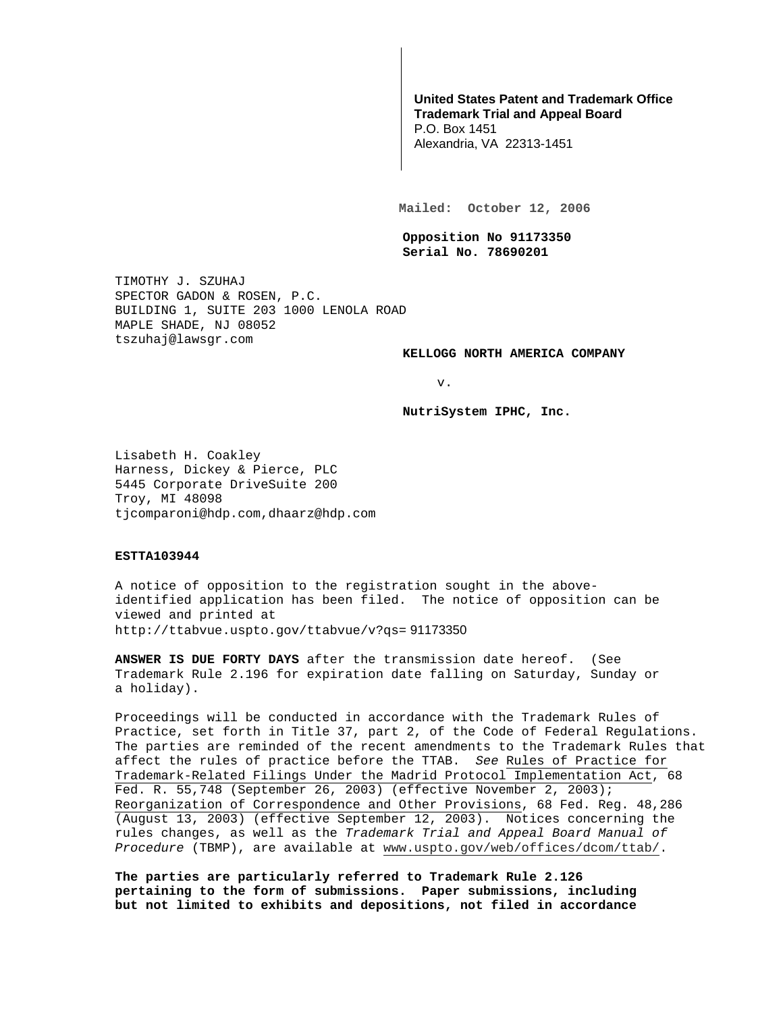# **United States Patent and Trademark Office Trademark Trial and Appeal Board**

P.O. Box 1451 Alexandria, VA 22313-1451

**Mailed: October 12, 2006** 

**Opposition No 91173350 Serial No. 78690201** 

TIMOTHY J. SZUHAJ SPECTOR GADON & ROSEN, P.C. BUILDING 1, SUITE 203 1000 LENOLA ROAD MAPLE SHADE, NJ 08052 tszuhaj@lawsgr.com

#### **KELLOGG NORTH AMERICA COMPANY**

v.

**NutriSystem IPHC, Inc.** 

Lisabeth H. Coakley Harness, Dickey & Pierce, PLC 5445 Corporate DriveSuite 200 Troy, MI 48098 tjcomparoni@hdp.com,dhaarz@hdp.com

# **ESTTA103944**

A notice of opposition to the registration sought in the aboveidentified application has been filed. The notice of opposition can be viewed and printed at http://ttabvue.uspto.gov/ttabvue/v?qs= 91173350

**ANSWER IS DUE FORTY DAYS** after the transmission date hereof. (See Trademark Rule 2.196 for expiration date falling on Saturday, Sunday or a holiday).

Proceedings will be conducted in accordance with the Trademark Rules of Practice, set forth in Title 37, part 2, of the Code of Federal Regulations. The parties are reminded of the recent amendments to the Trademark Rules that affect the rules of practice before the TTAB. See Rules of Practice for Trademark-Related Filings Under the Madrid Protocol Implementation Act, 68 Fed. R. 55,748 (September 26, 2003) (effective November 2, 2003); Reorganization of Correspondence and Other Provisions, 68 Fed. Reg. 48,286 (August 13, 2003) (effective September 12, 2003). Notices concerning the rules changes, as well as the Trademark Trial and Appeal Board Manual of Procedure (TBMP), are available at www.uspto.gov/web/offices/dcom/ttab/.

**The parties are particularly referred to Trademark Rule 2.126 pertaining to the form of submissions. Paper submissions, including but not limited to exhibits and depositions, not filed in accordance**